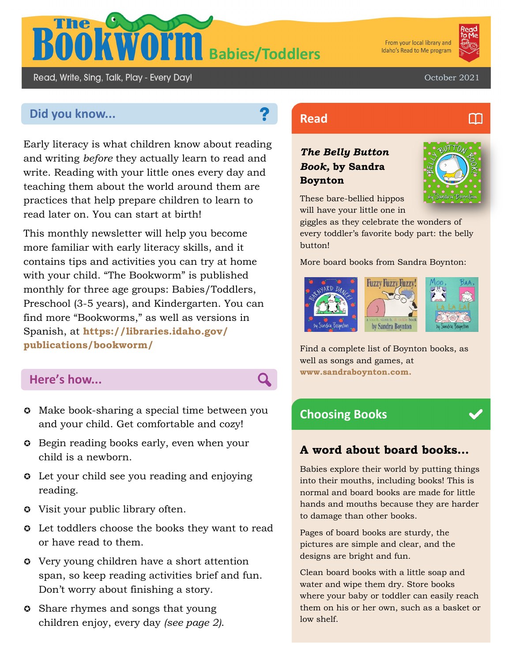

From your local library and Idaho's Read to Me program



M

October 2021

# **Did you know... Read Read**

Read, Write, Sing, Talk, Play - Every Day!

Early literacy is what children know about reading and writing *before* they actually learn to read and write. Reading with your little ones every day and teaching them about the world around them are practices that help prepare children to learn to read later on. You can start at birth!

This monthly newsletter will help you become more familiar with early literacy skills, and it contains tips and activities you can try at home with your child. "The Bookworm" is published monthly for three age groups: Babies/Toddlers, Preschool (3-5 years), and Kindergarten. You can find more "Bookworms," as well as versions in Spanish, at **https://libraries.idaho.gov/ publications/bookworm/**

## **Here's how...**

- $\circ$  Make book-sharing a special time between you and your child. Get comfortable and cozy!
- **Begin reading books early, even when your** child is a newborn.
- **C** Let your child see you reading and enjoying reading.
- Visit your public library often.
- $\circ$  Let toddlers choose the books they want to read or have read to them.
- Very young children have a short attention span, so keep reading activities brief and fun. Don't worry about finishing a story.
- **Share rhymes and songs that young** children enjoy, every day *(see page 2)*.

#### *The Belly Button Book,* **by Sandra Boynton**



These bare-bellied hippos will have your little one in

giggles as they celebrate the wonders of every toddler's favorite body part: the belly button!

More board books from Sandra Boynton:



Find a complete list of Boynton books, as well as songs and games, at **www.sandraboynton.com.**

## **Choosing Books**

Q

#### **A word about board books…**

Babies explore their world by putting things into their mouths, including books! This is normal and board books are made for little hands and mouths because they are harder to damage than other books.

Pages of board books are sturdy, the pictures are simple and clear, and the designs are bright and fun.

Clean board books with a little soap and water and wipe them dry. Store books where your baby or toddler can easily reach them on his or her own, such as a basket or low shelf.